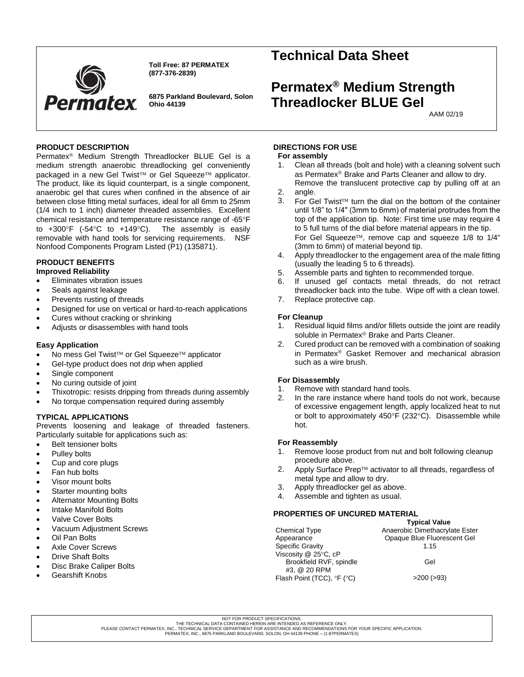

**Toll Free: 87 PERMATEX (877-376-2839)**

**6875 Parkland Boulevard, Solon Ohio 44139**

# **Technical Data Sheet**

# **Permatex® Medium Strength Threadlocker BLUE Gel**

AAM 02/19

# **PRODUCT DESCRIPTION**

Permatex<sup>®</sup> Medium Strength Threadlocker BLUE Gel is a medium strength anaerobic threadlocking gel conveniently packaged in a new Gel Twist™ or Gel Squeeze™ applicator. The product, like its liquid counterpart, is a single component, anaerobic gel that cures when confined in the absence of air between close fitting metal surfaces, ideal for all 6mm to 25mm (1/4 inch to 1 inch) diameter threaded assemblies. Excellent chemical resistance and temperature resistance range of -65°F to  $+300^{\circ}$ F (-54 $^{\circ}$ C to  $+149^{\circ}$ C). The assembly is easily removable with hand tools for servicing requirements. NSF Nonfood Components Program Listed (P1) (135871).

# **PRODUCT BENEFITS**

- **Improved Reliability**
- Eliminates vibration issues
- Seals against leakage
- Prevents rusting of threads
- Designed for use on vertical or hard-to-reach applications
- Cures without cracking or shrinking
- Adjusts or disassembles with hand tools

## **Easy Application**

- No mess Gel Twist™ or Gel Squeeze™ applicator
- Gel-type product does not drip when applied
- Single component
- No curing outside of joint
- Thixotropic: resists dripping from threads during assembly
- No torque compensation required during assembly

# **TYPICAL APPLICATIONS**

Prevents loosening and leakage of threaded fasteners. Particularly suitable for applications such as:

- Belt tensioner bolts
- Pulley bolts
- Cup and core plugs
- Fan hub bolts
- Visor mount bolts
- Starter mounting bolts
- Alternator Mounting Bolts
- Intake Manifold Bolts
- Valve Cover Bolts
- Vacuum Adjustment Screws
- Oil Pan Bolts
- Axle Cover Screws
- **Drive Shaft Bolts**
- Disc Brake Caliper Bolts
- Gearshift Knobs

# **DIRECTIONS FOR USE**

#### **For assembly**

- 1. Clean all threads (bolt and hole) with a cleaning solvent such as Permatex<sup>®</sup> Brake and Parts Cleaner and allow to dry. Remove the translucent protective cap by pulling off at an
- 2. angle.
- 3. For Gel Twist<sup> $TM$ </sup> turn the dial on the bottom of the container until 1/8" to 1/4" (3mm to 6mm) of material protrudes from the top of the application tip. Note: First time use may require 4 to 5 full turns of the dial before material appears in the tip. For Gel Squeeze<sup>TM</sup>, remove cap and squeeze  $1/8$  to  $1/4"$ (3mm to 6mm) of material beyond tip.
- 4. Apply threadlocker to the engagement area of the male fitting (usually the leading 5 to 6 threads).
- 5. Assemble parts and tighten to recommended torque.
- 6. If unused gel contacts metal threads, do not retract threadlocker back into the tube. Wipe off with a clean towel.
- 7. Replace protective cap.

## **For Cleanup**

- 1. Residual liquid films and/or fillets outside the joint are readily soluble in Permatex® Brake and Parts Cleaner.
- 2. Cured product can be removed with a combination of soaking in Permatex<sup>®</sup> Gasket Remover and mechanical abrasion such as a wire brush.

# **For Disassembly**

- 1. Remove with standard hand tools.<br>2. In the rare instance where hand to
- In the rare instance where hand tools do not work, because of excessive engagement length, apply localized heat to nut or bolt to approximately  $450^{\circ}F(232^{\circ}C)$ . Disassemble while hot.

#### **For Reassembly**

- 1. Remove loose product from nut and bolt following cleanup procedure above.
- 2. Apply Surface Prep™ activator to all threads, regardless of metal type and allow to dry.
- 3. Apply threadlocker gel as above.
- 4. Assemble and tighten as usual.

## **PROPERTIES OF UNCURED MATERIAL**

|                            | <b>Typical Value</b>           |
|----------------------------|--------------------------------|
| <b>Chemical Type</b>       | Anaerobic Dimethacrylate Ester |
| Appearance                 | Opaque Blue Fluorescent Gel    |
| <b>Specific Gravity</b>    | 1.15                           |
| Viscosity @ 25°C, cP       |                                |
| Brookfield RVF, spindle    | Gel                            |
| #3, @ 20 RPM               |                                |
| Flash Point (TCC), °F (°C) | $>200$ ( $>93$ )               |

PLEASE CONTACT PERMATEX, INC., TECHNICAL SERVICE DEPARTMENT FOR ASSISTANCE AND RECOMMENDATIONS FOR YOUR SPECIFIC APPLICATION.

PERMATEX, INC., 6875 PARKLAND BOULEVARD, SOLON, OH 44139 PHONE – (1-87PERMATEX)